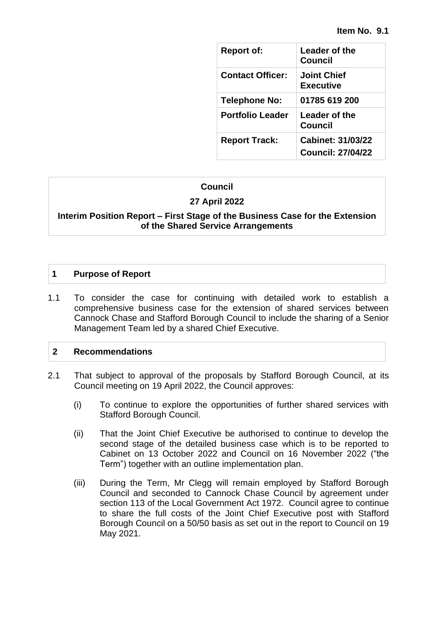| <b>Report of:</b>       | Leader of the<br>Council               |
|-------------------------|----------------------------------------|
| <b>Contact Officer:</b> | <b>Joint Chief</b><br>Executive        |
| Telephone No:           | 01785 619 200                          |
| <b>Portfolio Leader</b> | Leader of the<br>Council               |
| <b>Report Track:</b>    | Cabinet: 31/03/22<br>Council: 27/04/22 |

#### **Council**

#### **27 April 2022**

#### **Interim Position Report – First Stage of the Business Case for the Extension of the Shared Service Arrangements**

#### **1 Purpose of Report**

1.1 To consider the case for continuing with detailed work to establish a comprehensive business case for the extension of shared services between Cannock Chase and Stafford Borough Council to include the sharing of a Senior Management Team led by a shared Chief Executive.

#### **2 Recommendations**

- 2.1 That subject to approval of the proposals by Stafford Borough Council, at its Council meeting on 19 April 2022, the Council approves:
	- (i) To continue to explore the opportunities of further shared services with Stafford Borough Council.
	- (ii) That the Joint Chief Executive be authorised to continue to develop the second stage of the detailed business case which is to be reported to Cabinet on 13 October 2022 and Council on 16 November 2022 ("the Term") together with an outline implementation plan.
	- (iii) During the Term, Mr Clegg will remain employed by Stafford Borough Council and seconded to Cannock Chase Council by agreement under section 113 of the Local Government Act 1972. Council agree to continue to share the full costs of the Joint Chief Executive post with Stafford Borough Council on a 50/50 basis as set out in the report to Council on 19 May 2021.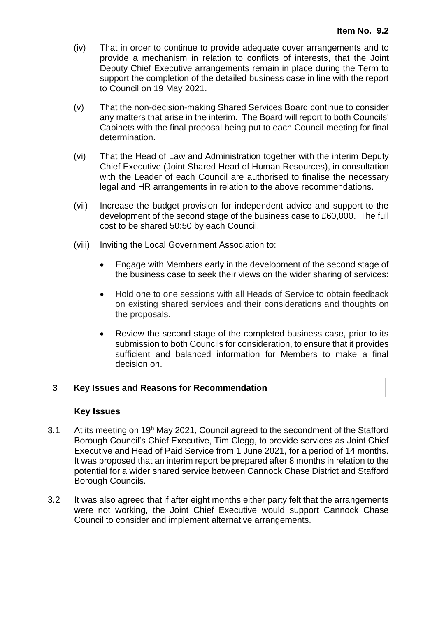- (iv) That in order to continue to provide adequate cover arrangements and to provide a mechanism in relation to conflicts of interests, that the Joint Deputy Chief Executive arrangements remain in place during the Term to support the completion of the detailed business case in line with the report to Council on 19 May 2021.
- (v) That the non-decision-making Shared Services Board continue to consider any matters that arise in the interim. The Board will report to both Councils' Cabinets with the final proposal being put to each Council meeting for final determination.
- (vi) That the Head of Law and Administration together with the interim Deputy Chief Executive (Joint Shared Head of Human Resources), in consultation with the Leader of each Council are authorised to finalise the necessary legal and HR arrangements in relation to the above recommendations.
- (vii) Increase the budget provision for independent advice and support to the development of the second stage of the business case to £60,000. The full cost to be shared 50:50 by each Council.
- (viii) Inviting the Local Government Association to:
	- Engage with Members early in the development of the second stage of the business case to seek their views on the wider sharing of services:
	- Hold one to one sessions with all Heads of Service to obtain feedback on existing shared services and their considerations and thoughts on the proposals.
	- Review the second stage of the completed business case, prior to its submission to both Councils for consideration, to ensure that it provides sufficient and balanced information for Members to make a final decision on.

#### **3 Key Issues and Reasons for Recommendation**

#### **Key Issues**

- 3.1 At its meeting on 19<sup>h</sup> May 2021, Council agreed to the secondment of the Stafford Borough Council's Chief Executive, Tim Clegg, to provide services as Joint Chief Executive and Head of Paid Service from 1 June 2021, for a period of 14 months. It was proposed that an interim report be prepared after 8 months in relation to the potential for a wider shared service between Cannock Chase District and Stafford Borough Councils.
- 3.2 It was also agreed that if after eight months either party felt that the arrangements were not working, the Joint Chief Executive would support Cannock Chase Council to consider and implement alternative arrangements.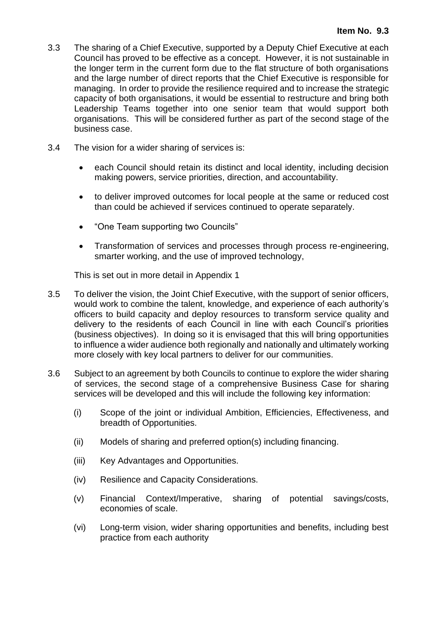- 3.3 The sharing of a Chief Executive, supported by a Deputy Chief Executive at each Council has proved to be effective as a concept. However, it is not sustainable in the longer term in the current form due to the flat structure of both organisations and the large number of direct reports that the Chief Executive is responsible for managing. In order to provide the resilience required and to increase the strategic capacity of both organisations, it would be essential to restructure and bring both Leadership Teams together into one senior team that would support both organisations. This will be considered further as part of the second stage of the business case.
- 3.4 The vision for a wider sharing of services is:
	- each Council should retain its distinct and local identity, including decision making powers, service priorities, direction, and accountability.
	- to deliver improved outcomes for local people at the same or reduced cost than could be achieved if services continued to operate separately.
	- "One Team supporting two Councils"
	- Transformation of services and processes through process re-engineering, smarter working, and the use of improved technology,

This is set out in more detail in Appendix 1

- 3.5 To deliver the vision, the Joint Chief Executive, with the support of senior officers, would work to combine the talent, knowledge, and experience of each authority's officers to build capacity and deploy resources to transform service quality and delivery to the residents of each Council in line with each Council's priorities (business objectives). In doing so it is envisaged that this will bring opportunities to influence a wider audience both regionally and nationally and ultimately working more closely with key local partners to deliver for our communities.
- 3.6 Subject to an agreement by both Councils to continue to explore the wider sharing of services, the second stage of a comprehensive Business Case for sharing services will be developed and this will include the following key information:
	- (i) Scope of the joint or individual Ambition, Efficiencies, Effectiveness, and breadth of Opportunities.
	- (ii) Models of sharing and preferred option(s) including financing.
	- (iii) Key Advantages and Opportunities.
	- (iv) Resilience and Capacity Considerations.
	- (v) Financial Context/Imperative, sharing of potential savings/costs, economies of scale.
	- (vi) Long-term vision, wider sharing opportunities and benefits, including best practice from each authority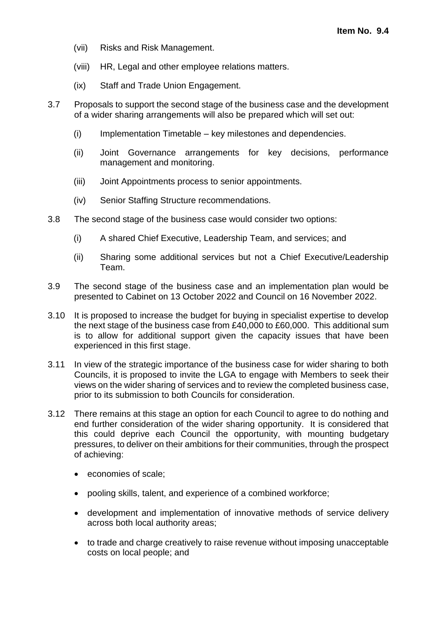- (vii) Risks and Risk Management.
- (viii) HR, Legal and other employee relations matters.
- (ix) Staff and Trade Union Engagement.
- 3.7 Proposals to support the second stage of the business case and the development of a wider sharing arrangements will also be prepared which will set out:
	- (i) Implementation Timetable key milestones and dependencies.
	- (ii) Joint Governance arrangements for key decisions, performance management and monitoring.
	- (iii) Joint Appointments process to senior appointments.
	- (iv) Senior Staffing Structure recommendations.
- 3.8 The second stage of the business case would consider two options:
	- (i) A shared Chief Executive, Leadership Team, and services; and
	- (ii) Sharing some additional services but not a Chief Executive/Leadership Team.
- 3.9 The second stage of the business case and an implementation plan would be presented to Cabinet on 13 October 2022 and Council on 16 November 2022.
- 3.10 It is proposed to increase the budget for buying in specialist expertise to develop the next stage of the business case from £40,000 to £60,000. This additional sum is to allow for additional support given the capacity issues that have been experienced in this first stage.
- 3.11 In view of the strategic importance of the business case for wider sharing to both Councils, it is proposed to invite the LGA to engage with Members to seek their views on the wider sharing of services and to review the completed business case, prior to its submission to both Councils for consideration.
- 3.12 There remains at this stage an option for each Council to agree to do nothing and end further consideration of the wider sharing opportunity. It is considered that this could deprive each Council the opportunity, with mounting budgetary pressures, to deliver on their ambitions for their communities, through the prospect of achieving:
	- economies of scale;
	- pooling skills, talent, and experience of a combined workforce;
	- development and implementation of innovative methods of service delivery across both local authority areas;
	- to trade and charge creatively to raise revenue without imposing unacceptable costs on local people; and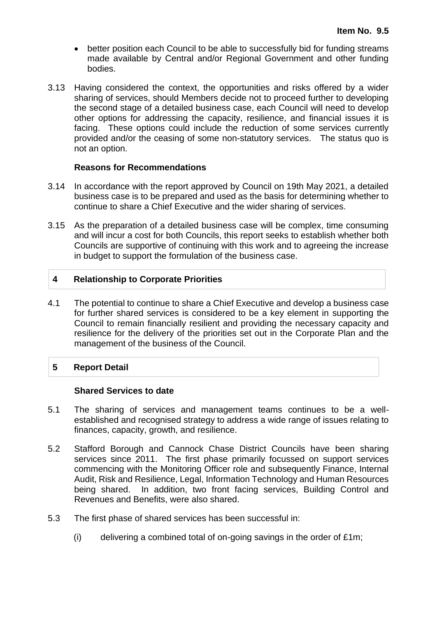- better position each Council to be able to successfully bid for funding streams made available by Central and/or Regional Government and other funding bodies.
- 3.13 Having considered the context, the opportunities and risks offered by a wider sharing of services, should Members decide not to proceed further to developing the second stage of a detailed business case, each Council will need to develop other options for addressing the capacity, resilience, and financial issues it is facing. These options could include the reduction of some services currently provided and/or the ceasing of some non-statutory services. The status quo is not an option.

#### **Reasons for Recommendations**

- 3.14 In accordance with the report approved by Council on 19th May 2021, a detailed business case is to be prepared and used as the basis for determining whether to continue to share a Chief Executive and the wider sharing of services.
- 3.15 As the preparation of a detailed business case will be complex, time consuming and will incur a cost for both Councils, this report seeks to establish whether both Councils are supportive of continuing with this work and to agreeing the increase in budget to support the formulation of the business case.

#### **4 Relationship to Corporate Priorities**

4.1 The potential to continue to share a Chief Executive and develop a business case for further shared services is considered to be a key element in supporting the Council to remain financially resilient and providing the necessary capacity and resilience for the delivery of the priorities set out in the Corporate Plan and the management of the business of the Council.

#### **5 Report Detail**

#### **Shared Services to date**

- 5.1 The sharing of services and management teams continues to be a wellestablished and recognised strategy to address a wide range of issues relating to finances, capacity, growth, and resilience.
- 5.2 Stafford Borough and Cannock Chase District Councils have been sharing services since 2011. The first phase primarily focussed on support services commencing with the Monitoring Officer role and subsequently Finance, Internal Audit, Risk and Resilience, Legal, Information Technology and Human Resources being shared. In addition, two front facing services, Building Control and Revenues and Benefits, were also shared.
- 5.3 The first phase of shared services has been successful in:
	- (i) delivering a combined total of on-going savings in the order of £1m;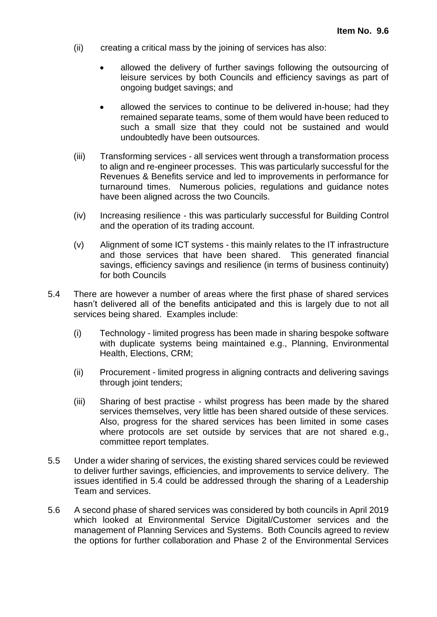- (ii) creating a critical mass by the joining of services has also:
	- allowed the delivery of further savings following the outsourcing of leisure services by both Councils and efficiency savings as part of ongoing budget savings; and
	- allowed the services to continue to be delivered in-house; had they remained separate teams, some of them would have been reduced to such a small size that they could not be sustained and would undoubtedly have been outsources.
- (iii) Transforming services all services went through a transformation process to align and re-engineer processes. This was particularly successful for the Revenues & Benefits service and led to improvements in performance for turnaround times. Numerous policies, regulations and guidance notes have been aligned across the two Councils.
- (iv) Increasing resilience this was particularly successful for Building Control and the operation of its trading account.
- (v) Alignment of some ICT systems this mainly relates to the IT infrastructure and those services that have been shared. This generated financial savings, efficiency savings and resilience (in terms of business continuity) for both Councils
- 5.4 There are however a number of areas where the first phase of shared services hasn't delivered all of the benefits anticipated and this is largely due to not all services being shared. Examples include:
	- (i) Technology limited progress has been made in sharing bespoke software with duplicate systems being maintained e.g., Planning, Environmental Health, Elections, CRM;
	- (ii) Procurement limited progress in aligning contracts and delivering savings through joint tenders;
	- (iii) Sharing of best practise whilst progress has been made by the shared services themselves, very little has been shared outside of these services. Also, progress for the shared services has been limited in some cases where protocols are set outside by services that are not shared e.g., committee report templates.
- 5.5 Under a wider sharing of services, the existing shared services could be reviewed to deliver further savings, efficiencies, and improvements to service delivery. The issues identified in 5.4 could be addressed through the sharing of a Leadership Team and services.
- 5.6 A second phase of shared services was considered by both councils in April 2019 which looked at Environmental Service Digital/Customer services and the management of Planning Services and Systems. Both Councils agreed to review the options for further collaboration and Phase 2 of the Environmental Services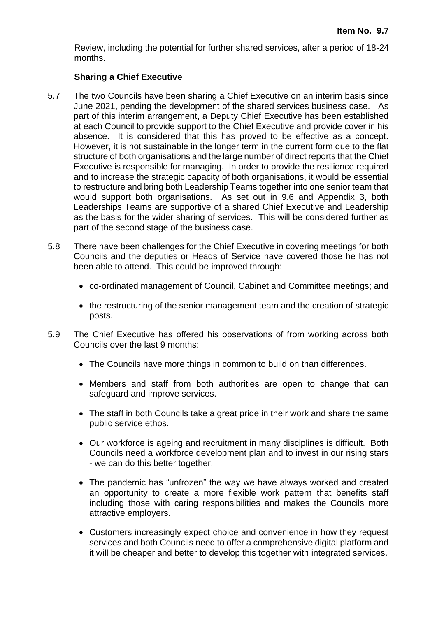Review, including the potential for further shared services, after a period of 18-24 months.

#### **Sharing a Chief Executive**

- 5.7 The two Councils have been sharing a Chief Executive on an interim basis since June 2021, pending the development of the shared services business case. As part of this interim arrangement, a Deputy Chief Executive has been established at each Council to provide support to the Chief Executive and provide cover in his absence. It is considered that this has proved to be effective as a concept. However, it is not sustainable in the longer term in the current form due to the flat structure of both organisations and the large number of direct reports that the Chief Executive is responsible for managing. In order to provide the resilience required and to increase the strategic capacity of both organisations, it would be essential to restructure and bring both Leadership Teams together into one senior team that would support both organisations. As set out in 9.6 and Appendix 3, both Leaderships Teams are supportive of a shared Chief Executive and Leadership as the basis for the wider sharing of services. This will be considered further as part of the second stage of the business case.
- 5.8 There have been challenges for the Chief Executive in covering meetings for both Councils and the deputies or Heads of Service have covered those he has not been able to attend. This could be improved through:
	- co-ordinated management of Council, Cabinet and Committee meetings; and
	- the restructuring of the senior management team and the creation of strategic posts.
- 5.9 The Chief Executive has offered his observations of from working across both Councils over the last 9 months:
	- The Councils have more things in common to build on than differences.
	- Members and staff from both authorities are open to change that can safeguard and improve services.
	- The staff in both Councils take a great pride in their work and share the same public service ethos.
	- Our workforce is ageing and recruitment in many disciplines is difficult. Both Councils need a workforce development plan and to invest in our rising stars - we can do this better together.
	- The pandemic has "unfrozen" the way we have always worked and created an opportunity to create a more flexible work pattern that benefits staff including those with caring responsibilities and makes the Councils more attractive employers.
	- Customers increasingly expect choice and convenience in how they request services and both Councils need to offer a comprehensive digital platform and it will be cheaper and better to develop this together with integrated services.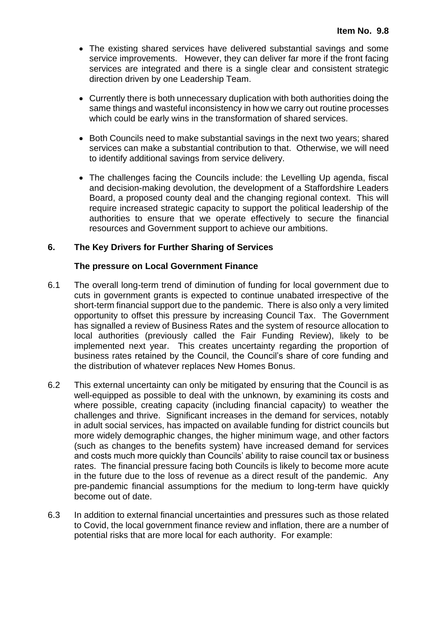- The existing shared services have delivered substantial savings and some service improvements. However, they can deliver far more if the front facing services are integrated and there is a single clear and consistent strategic direction driven by one Leadership Team.
- Currently there is both unnecessary duplication with both authorities doing the same things and wasteful inconsistency in how we carry out routine processes which could be early wins in the transformation of shared services.
- Both Councils need to make substantial savings in the next two years; shared services can make a substantial contribution to that. Otherwise, we will need to identify additional savings from service delivery.
- The challenges facing the Councils include: the Levelling Up agenda, fiscal and decision-making devolution, the development of a Staffordshire Leaders Board, a proposed county deal and the changing regional context. This will require increased strategic capacity to support the political leadership of the authorities to ensure that we operate effectively to secure the financial resources and Government support to achieve our ambitions.

#### **6. The Key Drivers for Further Sharing of Services**

#### **The pressure on Local Government Finance**

- 6.1 The overall long-term trend of diminution of funding for local government due to cuts in government grants is expected to continue unabated irrespective of the short-term financial support due to the pandemic. There is also only a very limited opportunity to offset this pressure by increasing Council Tax. The Government has signalled a review of Business Rates and the system of resource allocation to local authorities (previously called the Fair Funding Review), likely to be implemented next year. This creates uncertainty regarding the proportion of business rates retained by the Council, the Council's share of core funding and the distribution of whatever replaces New Homes Bonus.
- 6.2 This external uncertainty can only be mitigated by ensuring that the Council is as well-equipped as possible to deal with the unknown, by examining its costs and where possible, creating capacity (including financial capacity) to weather the challenges and thrive. Significant increases in the demand for services, notably in adult social services, has impacted on available funding for district councils but more widely demographic changes, the higher minimum wage, and other factors (such as changes to the benefits system) have increased demand for services and costs much more quickly than Councils' ability to raise council tax or business rates. The financial pressure facing both Councils is likely to become more acute in the future due to the loss of revenue as a direct result of the pandemic. Any pre-pandemic financial assumptions for the medium to long-term have quickly become out of date.
- 6.3 In addition to external financial uncertainties and pressures such as those related to Covid, the local government finance review and inflation, there are a number of potential risks that are more local for each authority. For example: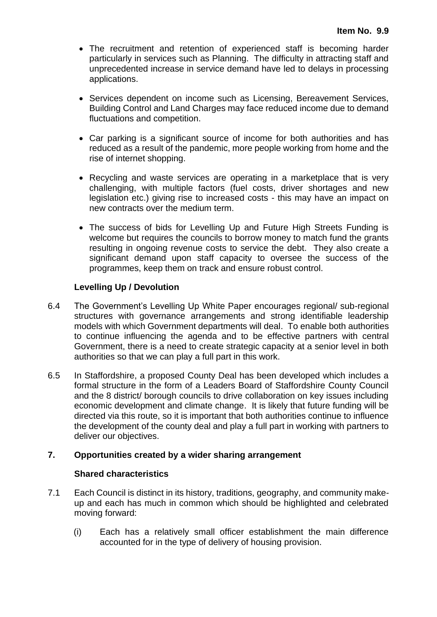- The recruitment and retention of experienced staff is becoming harder particularly in services such as Planning. The difficulty in attracting staff and unprecedented increase in service demand have led to delays in processing applications.
- Services dependent on income such as Licensing, Bereavement Services, Building Control and Land Charges may face reduced income due to demand fluctuations and competition.
- Car parking is a significant source of income for both authorities and has reduced as a result of the pandemic, more people working from home and the rise of internet shopping.
- Recycling and waste services are operating in a marketplace that is very challenging, with multiple factors (fuel costs, driver shortages and new legislation etc.) giving rise to increased costs - this may have an impact on new contracts over the medium term.
- The success of bids for Levelling Up and Future High Streets Funding is welcome but requires the councils to borrow money to match fund the grants resulting in ongoing revenue costs to service the debt. They also create a significant demand upon staff capacity to oversee the success of the programmes, keep them on track and ensure robust control.

#### **Levelling Up / Devolution**

- 6.4 The Government's Levelling Up White Paper encourages regional/ sub-regional structures with governance arrangements and strong identifiable leadership models with which Government departments will deal. To enable both authorities to continue influencing the agenda and to be effective partners with central Government, there is a need to create strategic capacity at a senior level in both authorities so that we can play a full part in this work.
- 6.5 In Staffordshire, a proposed County Deal has been developed which includes a formal structure in the form of a Leaders Board of Staffordshire County Council and the 8 district/ borough councils to drive collaboration on key issues including economic development and climate change. It is likely that future funding will be directed via this route, so it is important that both authorities continue to influence the development of the county deal and play a full part in working with partners to deliver our objectives.

#### **7. Opportunities created by a wider sharing arrangement**

#### **Shared characteristics**

- 7.1 Each Council is distinct in its history, traditions, geography, and community makeup and each has much in common which should be highlighted and celebrated moving forward:
	- (i) Each has a relatively small officer establishment the main difference accounted for in the type of delivery of housing provision.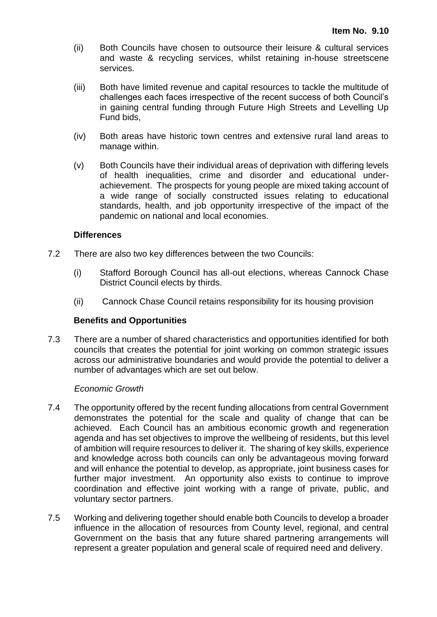- (ii) Both Councils have chosen to outsource their leisure & cultural services and waste & recycling services, whilst retaining in-house streetscene services.
- (iii) Both have limited revenue and capital resources to tackle the multitude of challenges each faces irrespective of the recent success of both Council's in gaining central funding through Future High Streets and Levelling Up Fund bids,
- (iv) Both areas have historic town centres and extensive rural land areas to manage within.
- (v) Both Councils have their individual areas of deprivation with differing levels of health inequalities, crime and disorder and educational underachievement. The prospects for young people are mixed taking account of a wide range of socially constructed issues relating to educational standards, health, and job opportunity irrespective of the impact of the pandemic on national and local economies.

#### **Differences**

- 7.2 There are also two key differences between the two Councils:
	- (i) Stafford Borough Council has all-out elections, whereas Cannock Chase District Council elects by thirds.
	- (ii) Cannock Chase Council retains responsibility for its housing provision

#### **Benefits and Opportunities**

7.3 There are a number of shared characteristics and opportunities identified for both councils that creates the potential for joint working on common strategic issues across our administrative boundaries and would provide the potential to deliver a number of advantages which are set out below.

#### *Economic Growth*

- 7.4 The opportunity offered by the recent funding allocations from central Government demonstrates the potential for the scale and quality of change that can be achieved. Each Council has an ambitious economic growth and regeneration agenda and has set objectives to improve the wellbeing of residents, but this level of ambition will require resources to deliver it. The sharing of key skills, experience and knowledge across both councils can only be advantageous moving forward and will enhance the potential to develop, as appropriate, joint business cases for further major investment. An opportunity also exists to continue to improve coordination and effective joint working with a range of private, public, and voluntary sector partners.
- 7.5 Working and delivering together should enable both Councils to develop a broader influence in the allocation of resources from County level, regional, and central Government on the basis that any future shared partnering arrangements will represent a greater population and general scale of required need and delivery.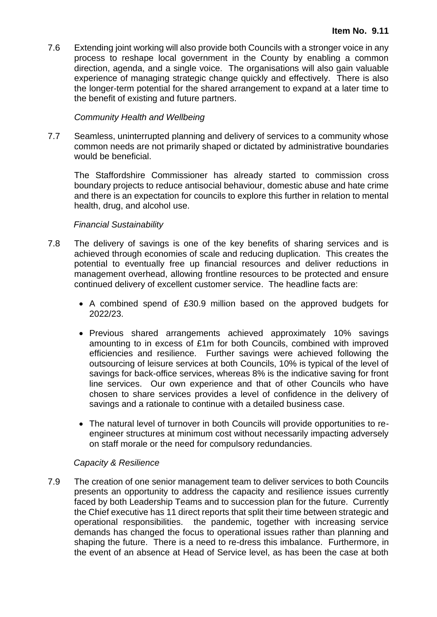7.6 Extending joint working will also provide both Councils with a stronger voice in any process to reshape local government in the County by enabling a common direction, agenda, and a single voice. The organisations will also gain valuable experience of managing strategic change quickly and effectively. There is also the longer-term potential for the shared arrangement to expand at a later time to the benefit of existing and future partners.

#### *Community Health and Wellbeing*

7.7 Seamless, uninterrupted planning and delivery of services to a community whose common needs are not primarily shaped or dictated by administrative boundaries would be beneficial.

The Staffordshire Commissioner has already started to commission cross boundary projects to reduce antisocial behaviour, domestic abuse and hate crime and there is an expectation for councils to explore this further in relation to mental health, drug, and alcohol use.

#### *Financial Sustainability*

- 7.8 The delivery of savings is one of the key benefits of sharing services and is achieved through economies of scale and reducing duplication. This creates the potential to eventually free up financial resources and deliver reductions in management overhead, allowing frontline resources to be protected and ensure continued delivery of excellent customer service. The headline facts are:
	- A combined spend of £30.9 million based on the approved budgets for 2022/23.
	- Previous shared arrangements achieved approximately 10% savings amounting to in excess of £1m for both Councils, combined with improved efficiencies and resilience. Further savings were achieved following the outsourcing of leisure services at both Councils, 10% is typical of the level of savings for back-office services, whereas 8% is the indicative saving for front line services. Our own experience and that of other Councils who have chosen to share services provides a level of confidence in the delivery of savings and a rationale to continue with a detailed business case.
	- The natural level of turnover in both Councils will provide opportunities to reengineer structures at minimum cost without necessarily impacting adversely on staff morale or the need for compulsory redundancies.

#### *Capacity & Resilience*

7.9 The creation of one senior management team to deliver services to both Councils presents an opportunity to address the capacity and resilience issues currently faced by both Leadership Teams and to succession plan for the future. Currently the Chief executive has 11 direct reports that split their time between strategic and operational responsibilities. the pandemic, together with increasing service demands has changed the focus to operational issues rather than planning and shaping the future. There is a need to re-dress this imbalance. Furthermore, in the event of an absence at Head of Service level, as has been the case at both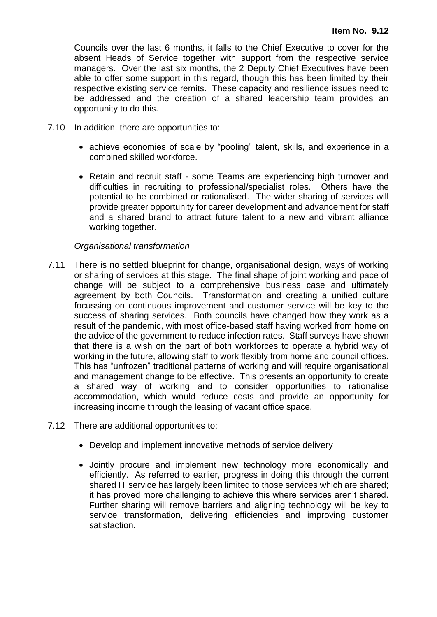Councils over the last 6 months, it falls to the Chief Executive to cover for the absent Heads of Service together with support from the respective service managers. Over the last six months, the 2 Deputy Chief Executives have been able to offer some support in this regard, though this has been limited by their respective existing service remits. These capacity and resilience issues need to be addressed and the creation of a shared leadership team provides an opportunity to do this.

- 7.10 In addition, there are opportunities to:
	- achieve economies of scale by "pooling" talent, skills, and experience in a combined skilled workforce.
	- Retain and recruit staff some Teams are experiencing high turnover and difficulties in recruiting to professional/specialist roles. Others have the potential to be combined or rationalised. The wider sharing of services will provide greater opportunity for career development and advancement for staff and a shared brand to attract future talent to a new and vibrant alliance working together.

#### *Organisational transformation*

- 7.11 There is no settled blueprint for change, organisational design, ways of working or sharing of services at this stage. The final shape of joint working and pace of change will be subject to a comprehensive business case and ultimately agreement by both Councils. Transformation and creating a unified culture focussing on continuous improvement and customer service will be key to the success of sharing services. Both councils have changed how they work as a result of the pandemic, with most office-based staff having worked from home on the advice of the government to reduce infection rates. Staff surveys have shown that there is a wish on the part of both workforces to operate a hybrid way of working in the future, allowing staff to work flexibly from home and council offices. This has "unfrozen" traditional patterns of working and will require organisational and management change to be effective. This presents an opportunity to create a shared way of working and to consider opportunities to rationalise accommodation, which would reduce costs and provide an opportunity for increasing income through the leasing of vacant office space.
- 7.12 There are additional opportunities to:
	- Develop and implement innovative methods of service delivery
	- Jointly procure and implement new technology more economically and efficiently. As referred to earlier, progress in doing this through the current shared IT service has largely been limited to those services which are shared; it has proved more challenging to achieve this where services aren't shared. Further sharing will remove barriers and aligning technology will be key to service transformation, delivering efficiencies and improving customer satisfaction.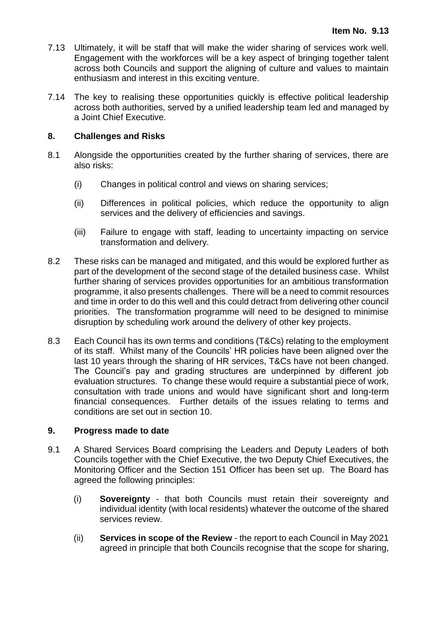- 7.13 Ultimately, it will be staff that will make the wider sharing of services work well. Engagement with the workforces will be a key aspect of bringing together talent across both Councils and support the aligning of culture and values to maintain enthusiasm and interest in this exciting venture.
- 7.14 The key to realising these opportunities quickly is effective political leadership across both authorities, served by a unified leadership team led and managed by a Joint Chief Executive.

#### **8. Challenges and Risks**

- 8.1 Alongside the opportunities created by the further sharing of services, there are also risks:
	- (i) Changes in political control and views on sharing services;
	- (ii) Differences in political policies, which reduce the opportunity to align services and the delivery of efficiencies and savings.
	- (iii) Failure to engage with staff, leading to uncertainty impacting on service transformation and delivery.
- 8.2 These risks can be managed and mitigated, and this would be explored further as part of the development of the second stage of the detailed business case. Whilst further sharing of services provides opportunities for an ambitious transformation programme, it also presents challenges. There will be a need to commit resources and time in order to do this well and this could detract from delivering other council priorities. The transformation programme will need to be designed to minimise disruption by scheduling work around the delivery of other key projects.
- 8.3 Each Council has its own terms and conditions (T&Cs) relating to the employment of its staff. Whilst many of the Councils' HR policies have been aligned over the last 10 years through the sharing of HR services, T&Cs have not been changed. The Council's pay and grading structures are underpinned by different job evaluation structures. To change these would require a substantial piece of work, consultation with trade unions and would have significant short and long-term financial consequences. Further details of the issues relating to terms and conditions are set out in section 10.

#### **9. Progress made to date**

- 9.1 A Shared Services Board comprising the Leaders and Deputy Leaders of both Councils together with the Chief Executive, the two Deputy Chief Executives, the Monitoring Officer and the Section 151 Officer has been set up. The Board has agreed the following principles:
	- (i) **Sovereignty** that both Councils must retain their sovereignty and individual identity (with local residents) whatever the outcome of the shared services review.
	- (ii) **Services in scope of the Review** the report to each Council in May 2021 agreed in principle that both Councils recognise that the scope for sharing,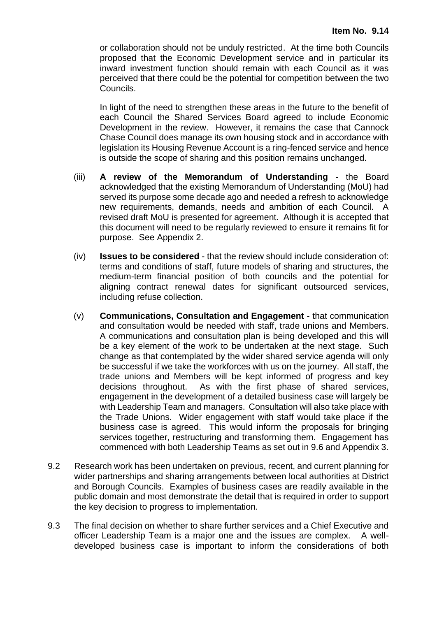or collaboration should not be unduly restricted. At the time both Councils proposed that the Economic Development service and in particular its inward investment function should remain with each Council as it was perceived that there could be the potential for competition between the two Councils.

In light of the need to strengthen these areas in the future to the benefit of each Council the Shared Services Board agreed to include Economic Development in the review. However, it remains the case that Cannock Chase Council does manage its own housing stock and in accordance with legislation its Housing Revenue Account is a ring-fenced service and hence is outside the scope of sharing and this position remains unchanged.

- (iii) **A review of the Memorandum of Understanding** the Board acknowledged that the existing Memorandum of Understanding (MoU) had served its purpose some decade ago and needed a refresh to acknowledge new requirements, demands, needs and ambition of each Council. A revised draft MoU is presented for agreement. Although it is accepted that this document will need to be regularly reviewed to ensure it remains fit for purpose. See Appendix 2.
- (iv) **Issues to be considered** that the review should include consideration of: terms and conditions of staff, future models of sharing and structures, the medium-term financial position of both councils and the potential for aligning contract renewal dates for significant outsourced services, including refuse collection.
- (v) **Communications, Consultation and Engagement** that communication and consultation would be needed with staff, trade unions and Members. A communications and consultation plan is being developed and this will be a key element of the work to be undertaken at the next stage. Such change as that contemplated by the wider shared service agenda will only be successful if we take the workforces with us on the journey. All staff, the trade unions and Members will be kept informed of progress and key decisions throughout. As with the first phase of shared services, engagement in the development of a detailed business case will largely be with Leadership Team and managers. Consultation will also take place with the Trade Unions. Wider engagement with staff would take place if the business case is agreed. This would inform the proposals for bringing services together, restructuring and transforming them. Engagement has commenced with both Leadership Teams as set out in 9.6 and Appendix 3.
- 9.2 Research work has been undertaken on previous, recent, and current planning for wider partnerships and sharing arrangements between local authorities at District and Borough Councils. Examples of business cases are readily available in the public domain and most demonstrate the detail that is required in order to support the key decision to progress to implementation.
- 9.3 The final decision on whether to share further services and a Chief Executive and officer Leadership Team is a major one and the issues are complex. A welldeveloped business case is important to inform the considerations of both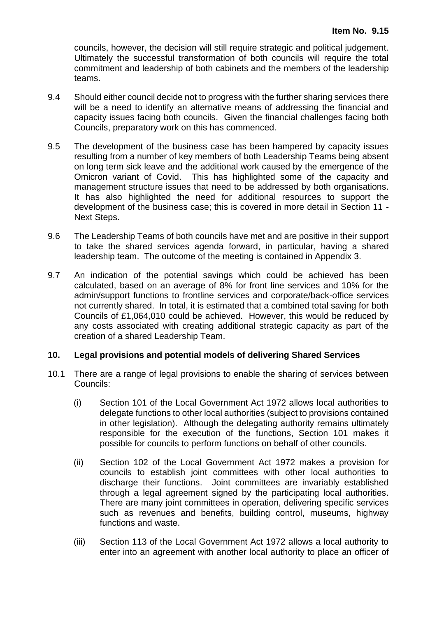councils, however, the decision will still require strategic and political judgement. Ultimately the successful transformation of both councils will require the total commitment and leadership of both cabinets and the members of the leadership teams.

- 9.4 Should either council decide not to progress with the further sharing services there will be a need to identify an alternative means of addressing the financial and capacity issues facing both councils. Given the financial challenges facing both Councils, preparatory work on this has commenced.
- 9.5 The development of the business case has been hampered by capacity issues resulting from a number of key members of both Leadership Teams being absent on long term sick leave and the additional work caused by the emergence of the Omicron variant of Covid. This has highlighted some of the capacity and management structure issues that need to be addressed by both organisations. It has also highlighted the need for additional resources to support the development of the business case; this is covered in more detail in Section 11 - Next Steps.
- 9.6 The Leadership Teams of both councils have met and are positive in their support to take the shared services agenda forward, in particular, having a shared leadership team. The outcome of the meeting is contained in Appendix 3.
- 9.7 An indication of the potential savings which could be achieved has been calculated, based on an average of 8% for front line services and 10% for the admin/support functions to frontline services and corporate/back-office services not currently shared. In total, it is estimated that a combined total saving for both Councils of £1,064,010 could be achieved. However, this would be reduced by any costs associated with creating additional strategic capacity as part of the creation of a shared Leadership Team.

#### **10. Legal provisions and potential models of delivering Shared Services**

- 10.1 There are a range of legal provisions to enable the sharing of services between Councils:
	- (i) Section 101 of the Local Government Act 1972 allows local authorities to delegate functions to other local authorities (subject to provisions contained in other legislation). Although the delegating authority remains ultimately responsible for the execution of the functions, Section 101 makes it possible for councils to perform functions on behalf of other councils.
	- (ii) Section 102 of the Local Government Act 1972 makes a provision for councils to establish joint committees with other local authorities to discharge their functions. Joint committees are invariably established through a legal agreement signed by the participating local authorities. There are many joint committees in operation, delivering specific services such as revenues and benefits, building control, museums, highway functions and waste.
	- (iii) Section 113 of the Local Government Act 1972 allows a local authority to enter into an agreement with another local authority to place an officer of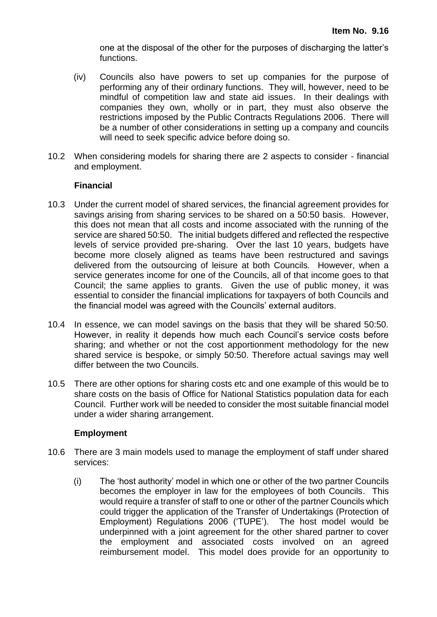one at the disposal of the other for the purposes of discharging the latter's functions.

- (iv) Councils also have powers to set up companies for the purpose of performing any of their ordinary functions. They will, however, need to be mindful of competition law and state aid issues. In their dealings with companies they own, wholly or in part, they must also observe the restrictions imposed by the Public Contracts Regulations 2006. There will be a number of other considerations in setting up a company and councils will need to seek specific advice before doing so.
- 10.2 When considering models for sharing there are 2 aspects to consider financial and employment.

#### **Financial**

- 10.3 Under the current model of shared services, the financial agreement provides for savings arising from sharing services to be shared on a 50:50 basis. However, this does not mean that all costs and income associated with the running of the service are shared 50:50. The initial budgets differed and reflected the respective levels of service provided pre-sharing. Over the last 10 years, budgets have become more closely aligned as teams have been restructured and savings delivered from the outsourcing of leisure at both Councils. However, when a service generates income for one of the Councils, all of that income goes to that Council; the same applies to grants. Given the use of public money, it was essential to consider the financial implications for taxpayers of both Councils and the financial model was agreed with the Councils' external auditors.
- 10.4 In essence, we can model savings on the basis that they will be shared 50:50. However, in reality it depends how much each Council's service costs before sharing; and whether or not the cost apportionment methodology for the new shared service is bespoke, or simply 50:50. Therefore actual savings may well differ between the two Councils.
- 10.5 There are other options for sharing costs etc and one example of this would be to share costs on the basis of Office for National Statistics population data for each Council. Further work will be needed to consider the most suitable financial model under a wider sharing arrangement.

#### **Employment**

- 10.6 There are 3 main models used to manage the employment of staff under shared services:
	- (i) The 'host authority' model in which one or other of the two partner Councils becomes the employer in law for the employees of both Councils. This would require a transfer of staff to one or other of the partner Councils which could trigger the application of the Transfer of Undertakings (Protection of Employment) Regulations 2006 ('TUPE'). The host model would be underpinned with a joint agreement for the other shared partner to cover the employment and associated costs involved on an agreed reimbursement model. This model does provide for an opportunity to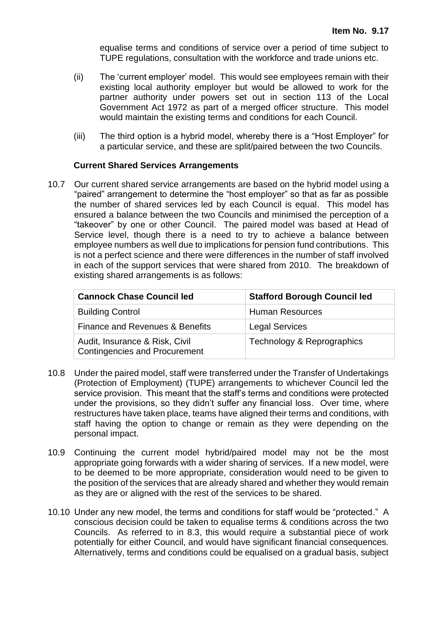equalise terms and conditions of service over a period of time subject to TUPE regulations, consultation with the workforce and trade unions etc.

- (ii) The 'current employer' model. This would see employees remain with their existing local authority employer but would be allowed to work for the partner authority under powers set out in section 113 of the Local Government Act 1972 as part of a merged officer structure. This model would maintain the existing terms and conditions for each Council.
- (iii) The third option is a hybrid model, whereby there is a "Host Employer" for a particular service, and these are split/paired between the two Councils.

#### **Current Shared Services Arrangements**

10.7 Our current shared service arrangements are based on the hybrid model using a "paired" arrangement to determine the "host employer" so that as far as possible the number of shared services led by each Council is equal. This model has ensured a balance between the two Councils and minimised the perception of a "takeover" by one or other Council. The paired model was based at Head of Service level, though there is a need to try to achieve a balance between employee numbers as well due to implications for pension fund contributions. This is not a perfect science and there were differences in the number of staff involved in each of the support services that were shared from 2010. The breakdown of existing shared arrangements is as follows:

| <b>Cannock Chase Council led</b>                                       | <b>Stafford Borough Council led</b> |
|------------------------------------------------------------------------|-------------------------------------|
| <b>Building Control</b>                                                | <b>Human Resources</b>              |
| Finance and Revenues & Benefits                                        | <b>Legal Services</b>               |
| Audit, Insurance & Risk, Civil<br><b>Contingencies and Procurement</b> | Technology & Reprographics          |

- 10.8 Under the paired model, staff were transferred under the Transfer of Undertakings (Protection of Employment) (TUPE) arrangements to whichever Council led the service provision. This meant that the staff's terms and conditions were protected under the provisions, so they didn't suffer any financial loss. Over time, where restructures have taken place, teams have aligned their terms and conditions, with staff having the option to change or remain as they were depending on the personal impact.
- 10.9 Continuing the current model hybrid/paired model may not be the most appropriate going forwards with a wider sharing of services. If a new model, were to be deemed to be more appropriate, consideration would need to be given to the position of the services that are already shared and whether they would remain as they are or aligned with the rest of the services to be shared.
- 10.10 Under any new model, the terms and conditions for staff would be "protected." A conscious decision could be taken to equalise terms & conditions across the two Councils. As referred to in 8.3, this would require a substantial piece of work potentially for either Council, and would have significant financial consequences. Alternatively, terms and conditions could be equalised on a gradual basis, subject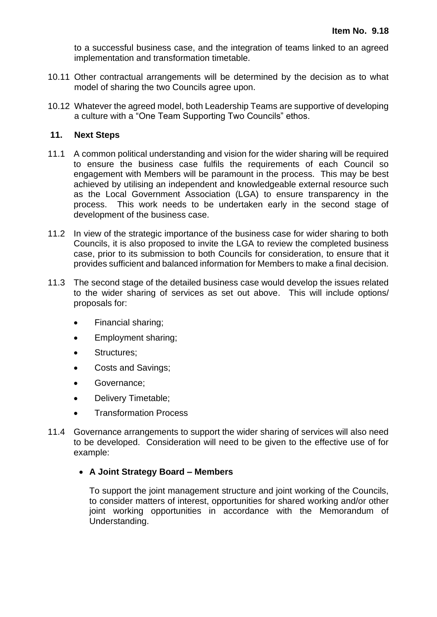to a successful business case, and the integration of teams linked to an agreed implementation and transformation timetable.

- 10.11 Other contractual arrangements will be determined by the decision as to what model of sharing the two Councils agree upon.
- 10.12 Whatever the agreed model, both Leadership Teams are supportive of developing a culture with a "One Team Supporting Two Councils" ethos.

#### **11. Next Steps**

- 11.1 A common political understanding and vision for the wider sharing will be required to ensure the business case fulfils the requirements of each Council so engagement with Members will be paramount in the process. This may be best achieved by utilising an independent and knowledgeable external resource such as the Local Government Association (LGA) to ensure transparency in the process. This work needs to be undertaken early in the second stage of development of the business case.
- 11.2 In view of the strategic importance of the business case for wider sharing to both Councils, it is also proposed to invite the LGA to review the completed business case, prior to its submission to both Councils for consideration, to ensure that it provides sufficient and balanced information for Members to make a final decision.
- 11.3 The second stage of the detailed business case would develop the issues related to the wider sharing of services as set out above. This will include options/ proposals for:
	- Financial sharing;
	- Employment sharing;
	- Structures;
	- Costs and Savings;
	- Governance;
	- Delivery Timetable;
	- Transformation Process
- 11.4 Governance arrangements to support the wider sharing of services will also need to be developed. Consideration will need to be given to the effective use of for example:

#### • **A Joint Strategy Board – Members**

To support the joint management structure and joint working of the Councils, to consider matters of interest, opportunities for shared working and/or other joint working opportunities in accordance with the Memorandum of Understanding.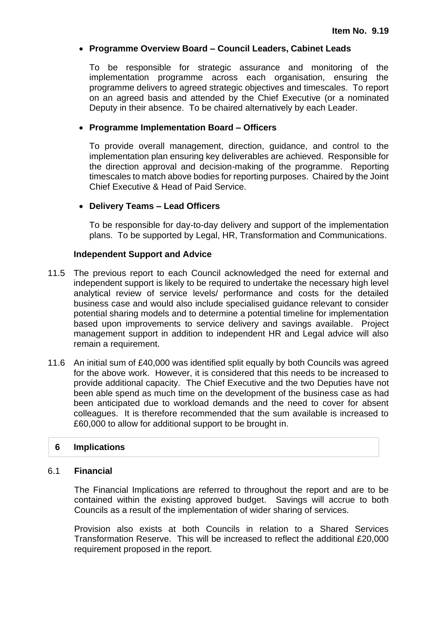#### • **Programme Overview Board – Council Leaders, Cabinet Leads**

To be responsible for strategic assurance and monitoring of the implementation programme across each organisation, ensuring the programme delivers to agreed strategic objectives and timescales. To report on an agreed basis and attended by the Chief Executive (or a nominated Deputy in their absence. To be chaired alternatively by each Leader.

#### • **Programme Implementation Board – Officers**

To provide overall management, direction, guidance, and control to the implementation plan ensuring key deliverables are achieved. Responsible for the direction approval and decision-making of the programme. Reporting timescales to match above bodies for reporting purposes. Chaired by the Joint Chief Executive & Head of Paid Service.

#### • **Delivery Teams – Lead Officers**

To be responsible for day-to-day delivery and support of the implementation plans. To be supported by Legal, HR, Transformation and Communications.

#### **Independent Support and Advice**

- 11.5 The previous report to each Council acknowledged the need for external and independent support is likely to be required to undertake the necessary high level analytical review of service levels/ performance and costs for the detailed business case and would also include specialised guidance relevant to consider potential sharing models and to determine a potential timeline for implementation based upon improvements to service delivery and savings available. Project management support in addition to independent HR and Legal advice will also remain a requirement.
- 11.6 An initial sum of £40,000 was identified split equally by both Councils was agreed for the above work. However, it is considered that this needs to be increased to provide additional capacity. The Chief Executive and the two Deputies have not been able spend as much time on the development of the business case as had been anticipated due to workload demands and the need to cover for absent colleagues. It is therefore recommended that the sum available is increased to £60,000 to allow for additional support to be brought in.

#### **6 Implications**

#### 6.1 **Financial**

The Financial Implications are referred to throughout the report and are to be contained within the existing approved budget. Savings will accrue to both Councils as a result of the implementation of wider sharing of services.

Provision also exists at both Councils in relation to a Shared Services Transformation Reserve. This will be increased to reflect the additional £20,000 requirement proposed in the report.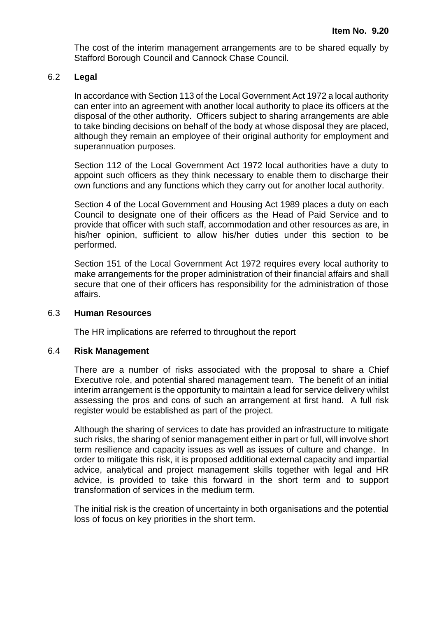The cost of the interim management arrangements are to be shared equally by Stafford Borough Council and Cannock Chase Council.

#### 6.2 **Legal**

In accordance with Section 113 of the Local Government Act 1972 a local authority can enter into an agreement with another local authority to place its officers at the disposal of the other authority. Officers subject to sharing arrangements are able to take binding decisions on behalf of the body at whose disposal they are placed, although they remain an employee of their original authority for employment and superannuation purposes.

Section 112 of the Local Government Act 1972 local authorities have a duty to appoint such officers as they think necessary to enable them to discharge their own functions and any functions which they carry out for another local authority.

Section 4 of the Local Government and Housing Act 1989 places a duty on each Council to designate one of their officers as the Head of Paid Service and to provide that officer with such staff, accommodation and other resources as are, in his/her opinion, sufficient to allow his/her duties under this section to be performed.

Section 151 of the Local Government Act 1972 requires every local authority to make arrangements for the proper administration of their financial affairs and shall secure that one of their officers has responsibility for the administration of those affairs.

#### 6.3 **Human Resources**

The HR implications are referred to throughout the report

#### 6.4 **Risk Management**

There are a number of risks associated with the proposal to share a Chief Executive role, and potential shared management team. The benefit of an initial interim arrangement is the opportunity to maintain a lead for service delivery whilst assessing the pros and cons of such an arrangement at first hand. A full risk register would be established as part of the project.

Although the sharing of services to date has provided an infrastructure to mitigate such risks, the sharing of senior management either in part or full, will involve short term resilience and capacity issues as well as issues of culture and change. In order to mitigate this risk, it is proposed additional external capacity and impartial advice, analytical and project management skills together with legal and HR advice, is provided to take this forward in the short term and to support transformation of services in the medium term.

The initial risk is the creation of uncertainty in both organisations and the potential loss of focus on key priorities in the short term.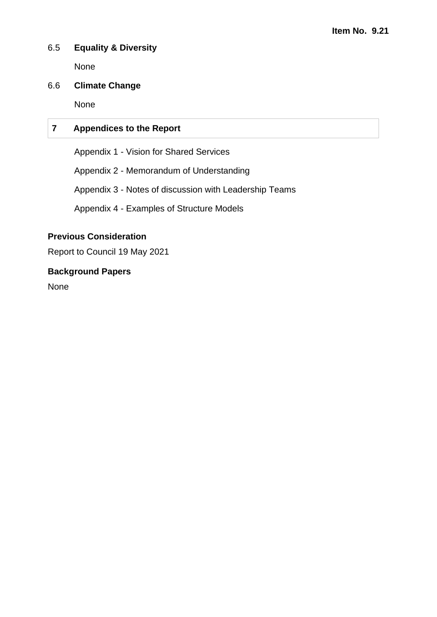#### 6.5 **Equality & Diversity**

None

#### 6.6 **Climate Change**

None

#### **7 Appendices to the Report**

Appendix 1 - Vision for Shared Services

Appendix 2 - Memorandum of Understanding

Appendix 3 - Notes of discussion with Leadership Teams

Appendix 4 - Examples of Structure Models

#### **Previous Consideration**

Report to Council 19 May 2021

#### **Background Papers**

None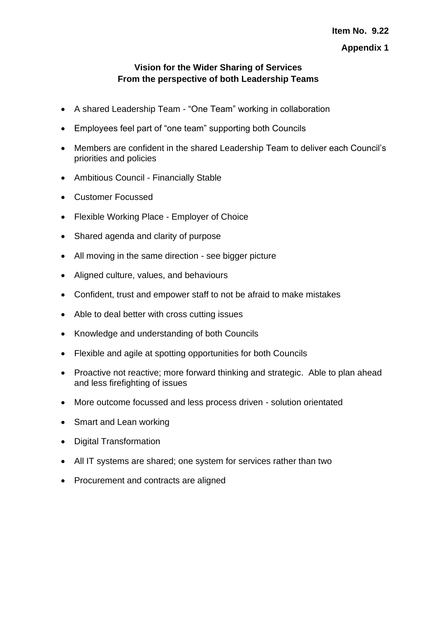#### **Vision for the Wider Sharing of Services From the perspective of both Leadership Teams**

- A shared Leadership Team "One Team" working in collaboration
- Employees feel part of "one team" supporting both Councils
- Members are confident in the shared Leadership Team to deliver each Council's priorities and policies
- Ambitious Council Financially Stable
- Customer Focussed
- Flexible Working Place Employer of Choice
- Shared agenda and clarity of purpose
- All moving in the same direction see bigger picture
- Aligned culture, values, and behaviours
- Confident, trust and empower staff to not be afraid to make mistakes
- Able to deal better with cross cutting issues
- Knowledge and understanding of both Councils
- Flexible and agile at spotting opportunities for both Councils
- Proactive not reactive; more forward thinking and strategic. Able to plan ahead and less firefighting of issues
- More outcome focussed and less process driven solution orientated
- Smart and Lean working
- Digital Transformation
- All IT systems are shared; one system for services rather than two
- Procurement and contracts are aligned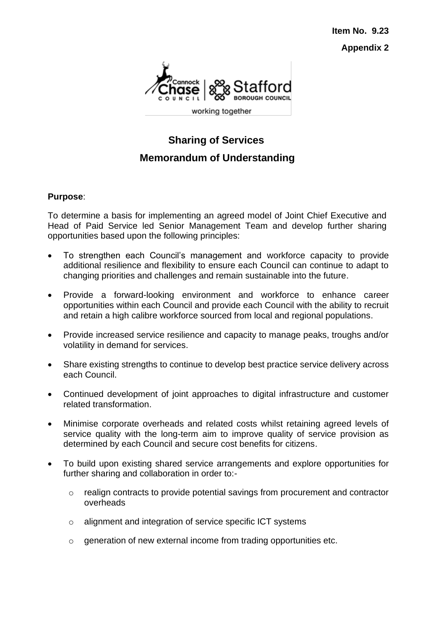**Item No. 9.23 Appendix 2**



### **Sharing of Services Memorandum of Understanding**

#### **Purpose**:

To determine a basis for implementing an agreed model of Joint Chief Executive and Head of Paid Service led Senior Management Team and develop further sharing opportunities based upon the following principles:

- To strengthen each Council's management and workforce capacity to provide additional resilience and flexibility to ensure each Council can continue to adapt to changing priorities and challenges and remain sustainable into the future.
- Provide a forward-looking environment and workforce to enhance career opportunities within each Council and provide each Council with the ability to recruit and retain a high calibre workforce sourced from local and regional populations.
- Provide increased service resilience and capacity to manage peaks, troughs and/or volatility in demand for services.
- Share existing strengths to continue to develop best practice service delivery across each Council.
- Continued development of joint approaches to digital infrastructure and customer related transformation.
- Minimise corporate overheads and related costs whilst retaining agreed levels of service quality with the long-term aim to improve quality of service provision as determined by each Council and secure cost benefits for citizens.
- To build upon existing shared service arrangements and explore opportunities for further sharing and collaboration in order to:
	- o realign contracts to provide potential savings from procurement and contractor overheads
	- o alignment and integration of service specific ICT systems
	- o generation of new external income from trading opportunities etc.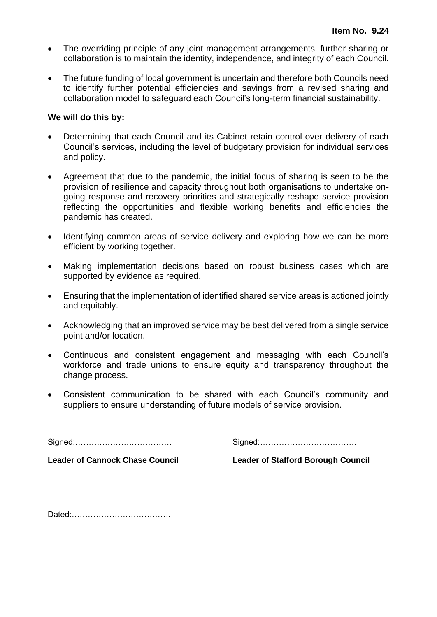- The overriding principle of any joint management arrangements, further sharing or collaboration is to maintain the identity, independence, and integrity of each Council.
- The future funding of local government is uncertain and therefore both Councils need to identify further potential efficiencies and savings from a revised sharing and collaboration model to safeguard each Council's long-term financial sustainability.

#### **We will do this by:**

- Determining that each Council and its Cabinet retain control over delivery of each Council's services, including the level of budgetary provision for individual services and policy.
- Agreement that due to the pandemic, the initial focus of sharing is seen to be the provision of resilience and capacity throughout both organisations to undertake ongoing response and recovery priorities and strategically reshape service provision reflecting the opportunities and flexible working benefits and efficiencies the pandemic has created.
- Identifying common areas of service delivery and exploring how we can be more efficient by working together.
- Making implementation decisions based on robust business cases which are supported by evidence as required.
- Ensuring that the implementation of identified shared service areas is actioned jointly and equitably.
- Acknowledging that an improved service may be best delivered from a single service point and/or location.
- Continuous and consistent engagement and messaging with each Council's workforce and trade unions to ensure equity and transparency throughout the change process.
- Consistent communication to be shared with each Council's community and suppliers to ensure understanding of future models of service provision.

Signed:……………………………… Signed:………………………………

**Leader of Cannock Chase Council Leader of Stafford Borough Council**

Dated:……………………………….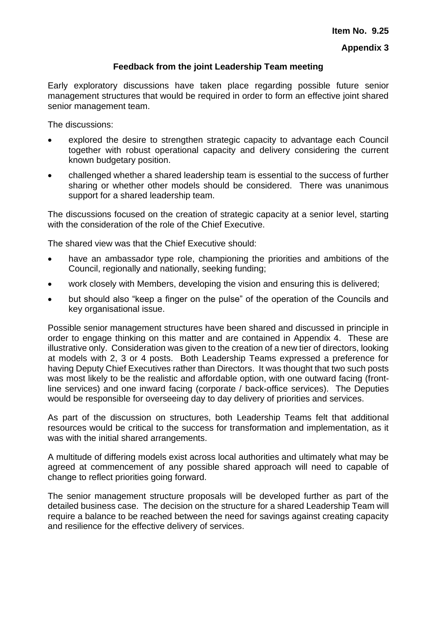#### **Feedback from the joint Leadership Team meeting**

Early exploratory discussions have taken place regarding possible future senior management structures that would be required in order to form an effective joint shared senior management team.

The discussions:

- explored the desire to strengthen strategic capacity to advantage each Council together with robust operational capacity and delivery considering the current known budgetary position.
- challenged whether a shared leadership team is essential to the success of further sharing or whether other models should be considered. There was unanimous support for a shared leadership team.

The discussions focused on the creation of strategic capacity at a senior level, starting with the consideration of the role of the Chief Executive.

The shared view was that the Chief Executive should:

- have an ambassador type role, championing the priorities and ambitions of the Council, regionally and nationally, seeking funding;
- work closely with Members, developing the vision and ensuring this is delivered;
- but should also "keep a finger on the pulse" of the operation of the Councils and key organisational issue.

Possible senior management structures have been shared and discussed in principle in order to engage thinking on this matter and are contained in Appendix 4. These are illustrative only. Consideration was given to the creation of a new tier of directors, looking at models with 2, 3 or 4 posts. Both Leadership Teams expressed a preference for having Deputy Chief Executives rather than Directors. It was thought that two such posts was most likely to be the realistic and affordable option, with one outward facing (frontline services) and one inward facing (corporate / back-office services). The Deputies would be responsible for overseeing day to day delivery of priorities and services.

As part of the discussion on structures, both Leadership Teams felt that additional resources would be critical to the success for transformation and implementation, as it was with the initial shared arrangements.

A multitude of differing models exist across local authorities and ultimately what may be agreed at commencement of any possible shared approach will need to capable of change to reflect priorities going forward.

The senior management structure proposals will be developed further as part of the detailed business case. The decision on the structure for a shared Leadership Team will require a balance to be reached between the need for savings against creating capacity and resilience for the effective delivery of services.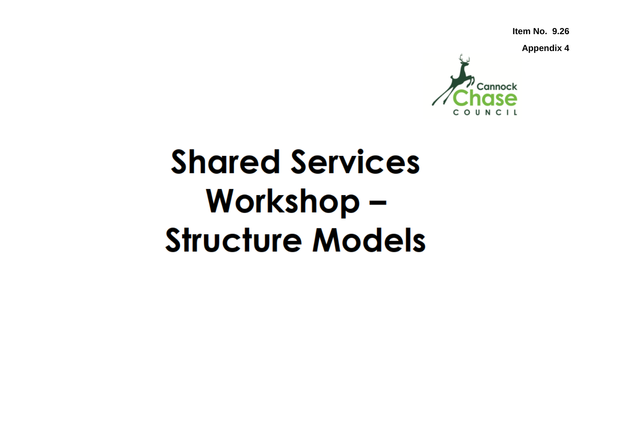**Item No. 9.26**

**Appendix 4**



# **Shared Services** Workshop -**Structure Models**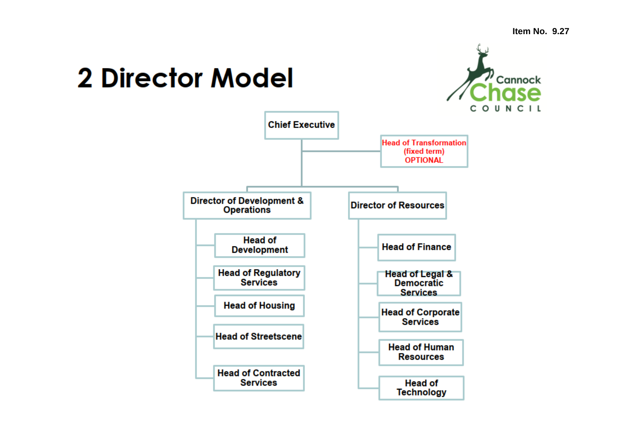## **2 Director Model**



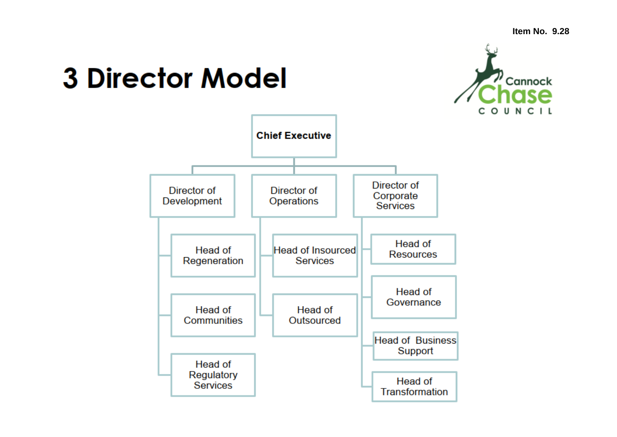## **3 Director Model**